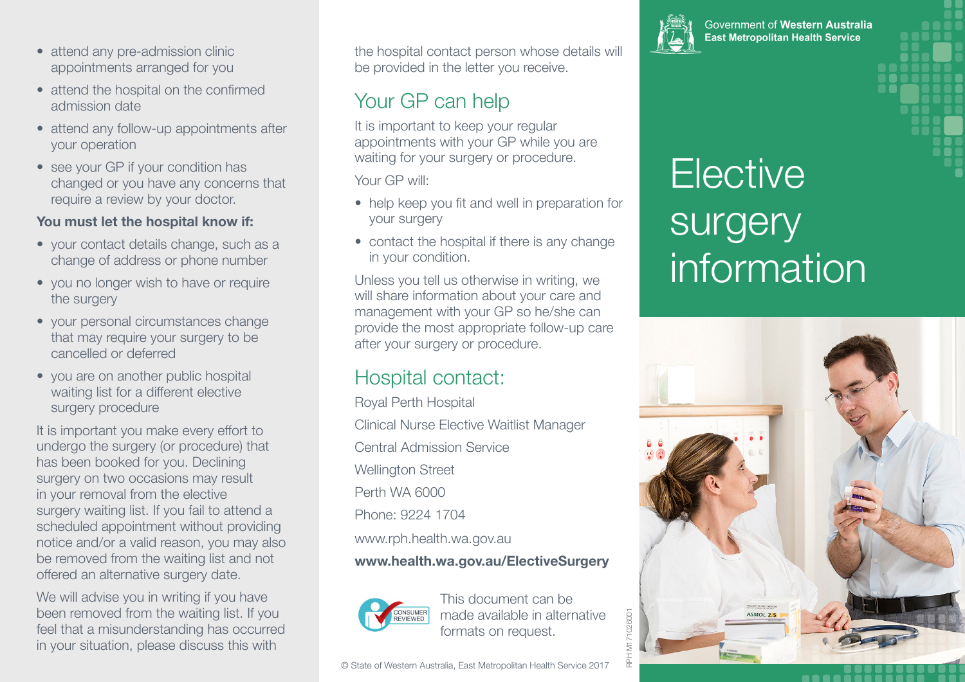- attend any pre-admission clinic appointments arranged for you
- attend the hospital on the confirmed admission date
- attend any follow-up appointments after your operation
- see your GP if your condition has changed or you have any concerns that require a review by your doctor.

### **You must let the hospital know if:**

- your contact details change, such as a change of address or phone number
- you no longer wish to have or require the surgery
- your personal circumstances change that may require your surgery to be cancelled or deferred
- you are on another public hospital waiting list for a different elective surgery procedure

It is important you make every effort to undergo the surgery (or procedure) that has been booked for you. Declining surgery on two occasions may result in your removal from the elective surgery waiting list. If you fail to attend a scheduled appointment without providing notice and/or a valid reason, you may also be removed from the waiting list and not offered an alternative surgery date.

We will advise you in writing if you have been removed from the waiting list. If you feel that a misunderstanding has occurred in your situation, please discuss this with

the hospital contact person whose details will be provided in the letter you receive.

## Your GP can help

It is important to keep your regular appointments with your GP while you are waiting for your surgery or procedure.

Your GP will:

- help keep you fit and well in preparation for your surgery
- contact the hospital if there is any change in your condition.

Unless you tell us otherwise in writing, we will share information about your care and management with your GP so he/she can provide the most appropriate follow-up care after your surgery or procedure.

## Hospital contact:

Royal Perth Hospital Clinical Nurse Elective Waitlist Manager Central Admission Service Wellington Street Perth WA 6000 Phone: 9224 1704 www.rph.health.wa.gov.au

### **www.health.wa.gov.au/ElectiveSurgery**



This document can be made available in alternative formats on request.

#### © State of Western Australia, East Metropolitan Health Service 2017



Government of Western Australia **East Metropolitan Health Service** 

# **Elective** surgery information